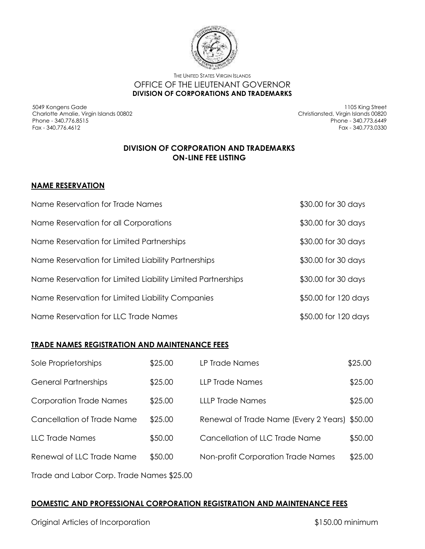

THE UNITED STATES VIRGIN ISLANDS OFFICE OF THE LIEUTENANT GOVERNOR **DIVISION OF CORPORATIONS AND TRADEMARKS**

5049 Kongens Gade Charlotte Amalie, Virgin Islands 00802 Phone - 340.776.8515 Fax - 340.776.4612

1105 King Street Christiansted, Virgin Islands 00820 Phone - 340.773.6449 Fax - 340.773.0330

## **DIVISION OF CORPORATION AND TRADEMARKS ON-LINE FEE LISTING**

## **NAME RESERVATION**

| Name Reservation for Trade Names                            | \$30.00 for 30 days  |
|-------------------------------------------------------------|----------------------|
| Name Reservation for all Corporations                       | \$30.00 for 30 days  |
| Name Reservation for Limited Partnerships                   | \$30.00 for 30 days  |
| Name Reservation for Limited Liability Partnerships         | \$30.00 for 30 days  |
| Name Reservation for Limited Liability Limited Partnerships | \$30.00 for 30 days  |
| Name Reservation for Limited Liability Companies            | \$50.00 for 120 days |
| Name Reservation for LLC Trade Names                        | \$50.00 for 120 days |

## **TRADE NAMES REGISTRATION AND MAINTENANCE FEES**

| Sole Proprietorships                      | \$25.00 | LP Trade Names                                | \$25.00 |
|-------------------------------------------|---------|-----------------------------------------------|---------|
| <b>General Partnerships</b>               | \$25.00 | <b>LLP Trade Names</b>                        | \$25.00 |
| <b>Corporation Trade Names</b>            | \$25.00 | <b>LLLP Trade Names</b>                       | \$25.00 |
| Cancellation of Trade Name                | \$25.00 | Renewal of Trade Name (Every 2 Years) \$50.00 |         |
| <b>LLC Trade Names</b>                    | \$50.00 | Cancellation of LLC Trade Name                | \$50.00 |
| Renewal of LLC Trade Name                 | \$50.00 | <b>Non-profit Corporation Trade Names</b>     | \$25.00 |
| Trade and Labor Corp. Trade Names \$25.00 |         |                                               |         |

## **DOMESTIC AND PROFESSIONAL CORPORATION REGISTRATION AND MAINTENANCE FEES**

Original Articles of Incorporation \$150.00 minimum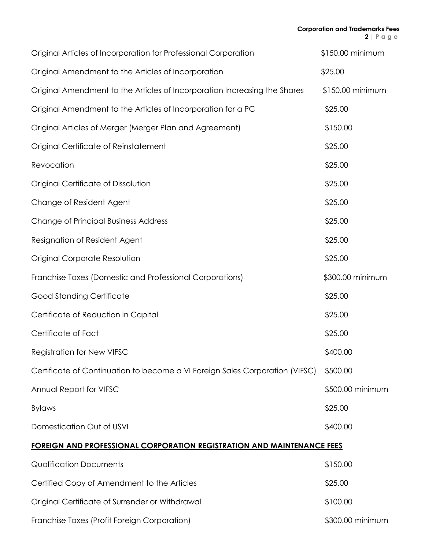| Original Articles of Incorporation for Professional Corporation               | \$150.00 minimum |
|-------------------------------------------------------------------------------|------------------|
| Original Amendment to the Articles of Incorporation                           | \$25.00          |
| Original Amendment to the Articles of Incorporation Increasing the Shares     | \$150.00 minimum |
| Original Amendment to the Articles of Incorporation for a PC                  | \$25.00          |
| Original Articles of Merger (Merger Plan and Agreement)                       | \$150.00         |
| Original Certificate of Reinstatement                                         | \$25.00          |
| Revocation                                                                    | \$25.00          |
| Original Certificate of Dissolution                                           | \$25.00          |
| Change of Resident Agent                                                      | \$25.00          |
| <b>Change of Principal Business Address</b>                                   | \$25.00          |
| Resignation of Resident Agent                                                 | \$25.00          |
| Original Corporate Resolution                                                 | \$25.00          |
| Franchise Taxes (Domestic and Professional Corporations)                      | \$300.00 minimum |
| Good Standing Certificate                                                     | \$25.00          |
| Certificate of Reduction in Capital                                           | \$25.00          |
| Certificate of Fact                                                           | \$25.00          |
| <b>Registration for New VIFSC</b>                                             | \$400.00         |
| Certificate of Continuation to become a VI Foreign Sales Corporation (VIFSC)  | \$500.00         |
| Annual Report for VIFSC                                                       | \$500.00 minimum |
| <b>Bylaws</b>                                                                 | \$25.00          |
| Domestication Out of USVI                                                     | \$400.00         |
| <u>FOREIGN AND PROFESSIONAL CORPORATION REGISTRATION AND MAINTENANCE FEES</u> |                  |
| <b>Qualification Documents</b>                                                | \$150.00         |
| Certified Copy of Amendment to the Articles                                   | \$25.00          |
| Original Certificate of Surrender or Withdrawal                               | \$100.00         |
| Franchise Taxes (Profit Foreign Corporation)                                  | \$300.00 minimum |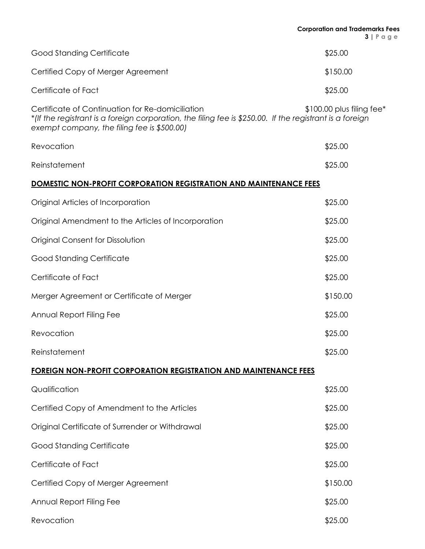|                                                                                                                                                                                                             | <b>Corporation and Trademarks Fees</b><br>$3   P \alpha g e$ |
|-------------------------------------------------------------------------------------------------------------------------------------------------------------------------------------------------------------|--------------------------------------------------------------|
| <b>Good Standing Certificate</b>                                                                                                                                                                            | \$25.00                                                      |
| Certified Copy of Merger Agreement                                                                                                                                                                          | \$150.00                                                     |
| Certificate of Fact                                                                                                                                                                                         | \$25.00                                                      |
| Certificate of Continuation for Re-domiciliation<br>*(If the registrant is a foreign corporation, the filing fee is \$250.00. If the registrant is a foreign<br>exempt company, the filing fee is \$500.00) | $$100.00$ plus filing fee*                                   |
| Revocation                                                                                                                                                                                                  | \$25.00                                                      |
| Reinstatement                                                                                                                                                                                               | \$25.00                                                      |
| <b>DOMESTIC NON-PROFIT CORPORATION REGISTRATION AND MAINTENANCE FEES</b>                                                                                                                                    |                                                              |
| Original Articles of Incorporation                                                                                                                                                                          | \$25.00                                                      |
| Original Amendment to the Articles of Incorporation                                                                                                                                                         | \$25.00                                                      |
| Original Consent for Dissolution                                                                                                                                                                            | \$25.00                                                      |
| <b>Good Standing Certificate</b>                                                                                                                                                                            | \$25.00                                                      |
| Certificate of Fact                                                                                                                                                                                         | \$25.00                                                      |
| Merger Agreement or Certificate of Merger                                                                                                                                                                   | \$150.00                                                     |
| Annual Report Filing Fee                                                                                                                                                                                    | \$25.00                                                      |
| Revocation                                                                                                                                                                                                  | \$25.00                                                      |
| Reinstatement                                                                                                                                                                                               | \$25.00                                                      |
| <b>FOREIGN NON-PROFIT CORPORATION REGISTRATION AND MAINTENANCE FEES</b>                                                                                                                                     |                                                              |
| Qualification                                                                                                                                                                                               | \$25.00                                                      |
| Certified Copy of Amendment to the Articles                                                                                                                                                                 | \$25.00                                                      |
| Original Certificate of Surrender or Withdrawal                                                                                                                                                             | \$25.00                                                      |
| <b>Good Standing Certificate</b>                                                                                                                                                                            | \$25.00                                                      |
| Certificate of Fact                                                                                                                                                                                         | \$25.00                                                      |
| Certified Copy of Merger Agreement                                                                                                                                                                          | \$150.00                                                     |
| Annual Report Filing Fee                                                                                                                                                                                    | \$25.00                                                      |
| Revocation                                                                                                                                                                                                  | \$25.00                                                      |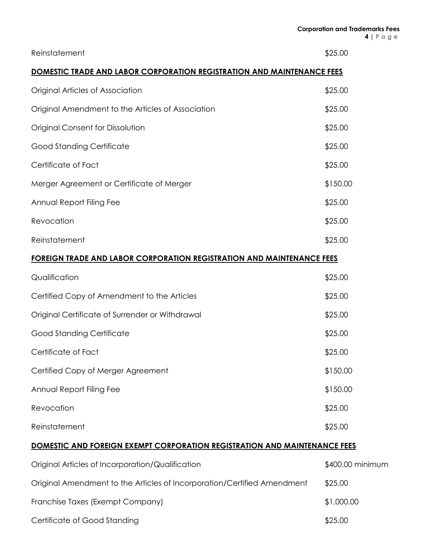| Reinstatement                                                                    | \$25.00          |
|----------------------------------------------------------------------------------|------------------|
| <b>DOMESTIC TRADE AND LABOR CORPORATION REGISTRATION AND MAINTENANCE FEES</b>    |                  |
| Original Articles of Association                                                 | \$25.00          |
| Original Amendment to the Articles of Association                                | \$25.00          |
| Original Consent for Dissolution                                                 | \$25.00          |
| <b>Good Standing Certificate</b>                                                 | \$25.00          |
| Certificate of Fact                                                              | \$25.00          |
| Merger Agreement or Certificate of Merger                                        | \$150.00         |
| Annual Report Filing Fee                                                         | \$25.00          |
| Revocation                                                                       | \$25.00          |
| Reinstatement                                                                    | \$25.00          |
| <b>FOREIGN TRADE AND LABOR CORPORATION REGISTRATION AND MAINTENANCE FEES</b>     |                  |
| Qualification                                                                    | \$25.00          |
| Certified Copy of Amendment to the Articles                                      | \$25.00          |
| Original Certificate of Surrender or Withdrawal                                  | \$25.00          |
| <b>Good Standing Certificate</b>                                                 | \$25.00          |
| Certificate of Fact                                                              | \$25.00          |
| Certified Copy of Merger Agreement                                               | \$150.00         |
| Annual Report Filing Fee                                                         | \$150.00         |
| Revocation                                                                       | \$25.00          |
| Reinstatement                                                                    | \$25.00          |
| <b>DOMESTIC AND FOREIGN EXEMPT CORPORATION REGISTRATION AND MAINTENANCE FEES</b> |                  |
| Original Articles of Incorporation/Qualification                                 | \$400.00 minimum |
| Original Amendment to the Articles of Incorporation/Certified Amendment          | \$25.00          |

Franchise Taxes (Exempt Company)  $$1,000.00$ Certificate of Good Standing \$25.00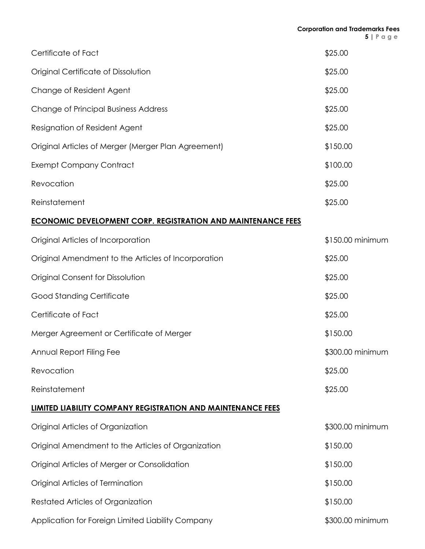| Certificate of Fact                                                 | \$25.00          |
|---------------------------------------------------------------------|------------------|
| Original Certificate of Dissolution                                 | \$25.00          |
| Change of Resident Agent                                            | \$25.00          |
| <b>Change of Principal Business Address</b>                         | \$25.00          |
| Resignation of Resident Agent                                       | \$25.00          |
| Original Articles of Merger (Merger Plan Agreement)                 | \$150.00         |
| <b>Exempt Company Contract</b>                                      | \$100.00         |
| Revocation                                                          | \$25.00          |
| Reinstatement                                                       | \$25.00          |
| <b>ECONOMIC DEVELOPMENT CORP. REGISTRATION AND MAINTENANCE FEES</b> |                  |
| Original Articles of Incorporation                                  | \$150.00 minimum |
| Original Amendment to the Articles of Incorporation                 | \$25.00          |
| Original Consent for Dissolution                                    | \$25.00          |
| <b>Good Standing Certificate</b>                                    | \$25.00          |
| Certificate of Fact                                                 | \$25.00          |
| Merger Agreement or Certificate of Merger                           | \$150.00         |
| Annual Report Filing Fee                                            | \$300.00 minimum |
| Revocation                                                          | \$25.00          |
| Reinstatement                                                       | \$25.00          |
| <b>LIMITED LIABILITY COMPANY REGISTRATION AND MAINTENANCE FEES</b>  |                  |
| Original Articles of Organization                                   | \$300.00 minimum |
| Original Amendment to the Articles of Organization                  | \$150.00         |
| Original Articles of Merger or Consolidation                        | \$150.00         |
| Original Articles of Termination                                    | \$150.00         |
| Restated Articles of Organization                                   | \$150.00         |
|                                                                     |                  |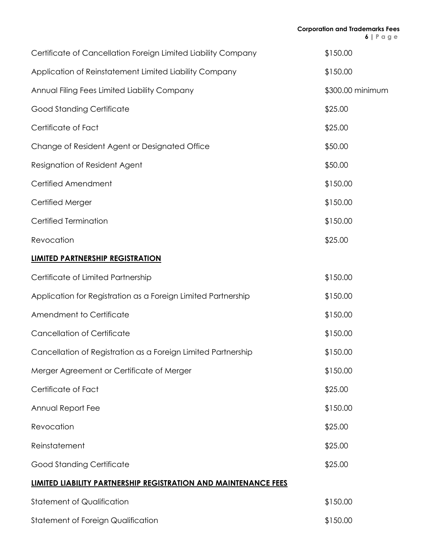| Certificate of Cancellation Foreign Limited Liability Company          | \$150.00         |
|------------------------------------------------------------------------|------------------|
| Application of Reinstatement Limited Liability Company                 | \$150.00         |
| Annual Filing Fees Limited Liability Company                           | \$300.00 minimum |
| <b>Good Standing Certificate</b>                                       | \$25.00          |
| Certificate of Fact                                                    | \$25.00          |
| Change of Resident Agent or Designated Office                          | \$50.00          |
| Resignation of Resident Agent                                          | \$50.00          |
| Certified Amendment                                                    | \$150.00         |
| Certified Merger                                                       | \$150.00         |
| <b>Certified Termination</b>                                           | \$150.00         |
| Revocation                                                             | \$25.00          |
| <b>LIMITED PARTNERSHIP REGISTRATION</b>                                |                  |
| Certificate of Limited Partnership                                     | \$150.00         |
| Application for Registration as a Foreign Limited Partnership          | \$150.00         |
| Amendment to Certificate                                               | \$150.00         |
| <b>Cancellation of Certificate</b>                                     | \$150.00         |
| Cancellation of Registration as a Foreign Limited Partnership          | \$150.00         |
| Merger Agreement or Certificate of Merger                              | \$150.00         |
| Certificate of Fact                                                    | \$25.00          |
| Annual Report Fee                                                      | \$150.00         |
| Revocation                                                             | \$25.00          |
| Reinstatement                                                          | \$25.00          |
| <b>Good Standing Certificate</b>                                       | \$25.00          |
| <b>LIMITED LIABILITY PARTNERSHIP REGISTRATION AND MAINTENANCE FEES</b> |                  |
| <b>Statement of Qualification</b>                                      | \$150.00         |
| <b>Statement of Foreign Qualification</b>                              | \$150.00         |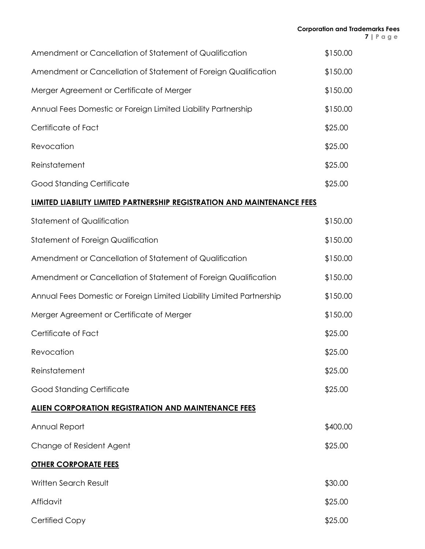| Amendment or Cancellation of Statement of Qualification                        | \$150.00 |
|--------------------------------------------------------------------------------|----------|
| Amendment or Cancellation of Statement of Foreign Qualification                | \$150.00 |
| Merger Agreement or Certificate of Merger                                      | \$150.00 |
| Annual Fees Domestic or Foreign Limited Liability Partnership                  | \$150.00 |
| Certificate of Fact                                                            | \$25.00  |
| Revocation                                                                     | \$25.00  |
| Reinstatement                                                                  | \$25.00  |
| Good Standing Certificate                                                      | \$25.00  |
| <u>LIMITED LIABILITY LIMITED PARTNERSHIP REGISTRATION AND MAINTENANCE FEES</u> |          |
| Statement of Qualification                                                     | \$150.00 |
| Statement of Foreign Qualification                                             | \$150.00 |
| Amendment or Cancellation of Statement of Qualification                        | \$150.00 |
| Amendment or Cancellation of Statement of Foreign Qualification                | \$150.00 |
| Annual Fees Domestic or Foreign Limited Liability Limited Partnership          | \$150.00 |
| Merger Agreement or Certificate of Merger                                      | \$150.00 |
| Certificate of Fact                                                            | \$25.00  |
| Revocation                                                                     | \$25.00  |
| Reinstatement                                                                  | \$25.00  |
| Good Standing Certificate                                                      | \$25.00  |
| <u>ALIEN CORPORATION REGISTRATION AND MAINTENANCE FEES</u>                     |          |
| Annual Report                                                                  | \$400.00 |
| Change of Resident Agent                                                       | \$25.00  |
| <b>OTHER CORPORATE FEES</b>                                                    |          |
| Written Search Result                                                          | \$30.00  |
| Affidavit                                                                      | \$25.00  |
| Certified Copy                                                                 | \$25.00  |